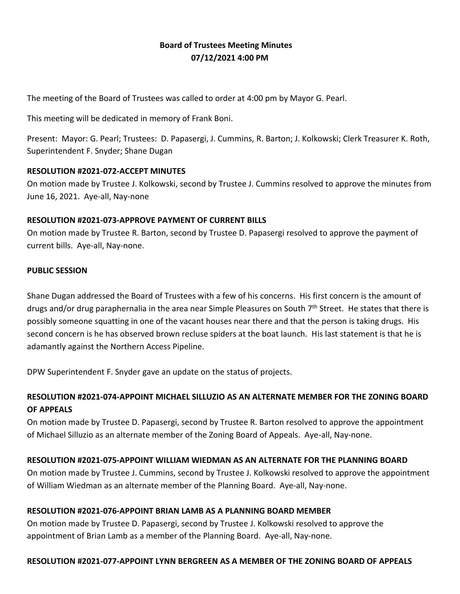# **Board of Trustees Meeting Minutes 07/12/2021 4:00 PM**

The meeting of the Board of Trustees was called to order at 4:00 pm by Mayor G. Pearl.

This meeting will be dedicated in memory of Frank Boni.

Present: Mayor: G. Pearl; Trustees: D. Papasergi, J. Cummins, R. Barton; J. Kolkowski; Clerk Treasurer K. Roth, Superintendent F. Snyder; Shane Dugan

#### **RESOLUTION #2021-072-ACCEPT MINUTES**

On motion made by Trustee J. Kolkowski, second by Trustee J. Cummins resolved to approve the minutes from June 16, 2021. Aye-all, Nay-none

#### **RESOLUTION #2021-073-APPROVE PAYMENT OF CURRENT BILLS**

On motion made by Trustee R. Barton, second by Trustee D. Papasergi resolved to approve the payment of current bills. Aye-all, Nay-none.

#### **PUBLIC SESSION**

Shane Dugan addressed the Board of Trustees with a few of his concerns. His first concern is the amount of drugs and/or drug paraphernalia in the area near Simple Pleasures on South 7<sup>th</sup> Street. He states that there is possibly someone squatting in one of the vacant houses near there and that the person is taking drugs. His second concern is he has observed brown recluse spiders at the boat launch. His last statement is that he is adamantly against the Northern Access Pipeline.

DPW Superintendent F. Snyder gave an update on the status of projects.

# **RESOLUTION #2021-074-APPOINT MICHAEL SILLUZIO AS AN ALTERNATE MEMBER FOR THE ZONING BOARD OF APPEALS**

On motion made by Trustee D. Papasergi, second by Trustee R. Barton resolved to approve the appointment of Michael Silluzio as an alternate member of the Zoning Board of Appeals. Aye-all, Nay-none.

## **RESOLUTION #2021-075-APPOINT WILLIAM WIEDMAN AS AN ALTERNATE FOR THE PLANNING BOARD**

On motion made by Trustee J. Cummins, second by Trustee J. Kolkowski resolved to approve the appointment of William Wiedman as an alternate member of the Planning Board. Aye-all, Nay-none.

## **RESOLUTION #2021-076-APPOINT BRIAN LAMB AS A PLANNING BOARD MEMBER**

On motion made by Trustee D. Papasergi, second by Trustee J. Kolkowski resolved to approve the appointment of Brian Lamb as a member of the Planning Board. Aye-all, Nay-none.

#### **RESOLUTION #2021-077-APPOINT LYNN BERGREEN AS A MEMBER OF THE ZONING BOARD OF APPEALS**